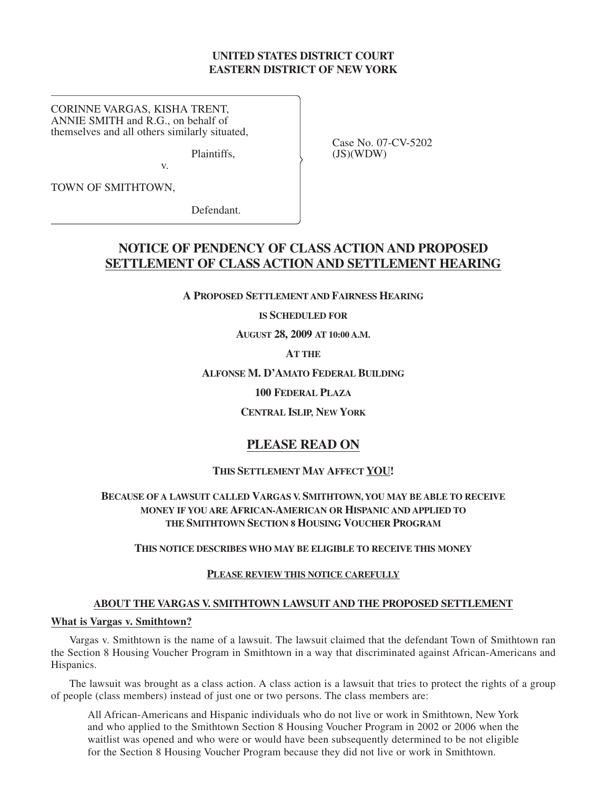# **UNITED STATES DISTRICT COURT EASTERN DISTRICT OF NEW YORK**

CORINNE VARGAS, KISHA TRENT, ANNIE SMITH and R.G., on behalf of themselves and all others similarly situated,<br>
Plaintiffs. Case No. 07-CV-5202<br>
(JS)(WDW)

v.

 $(JS)(WDW)$ 

TOWN OF SMITHTOWN,

Defendant.

# **NOTICE OF PENDENCY OF CLASS ACTION AND PROPOSED SETTLEMENT OF CLASS ACTION AND SETTLEMENT HEARING**

**A PROPOSED SETTLEMENT AND FAIRNESS HEARING**

**IS SCHEDULED FOR**

**AUGUST 28, 2009 AT 10:00 A.M.**

**AT THE**

**ALFONSE M. D'AMATO FEDERAL BUILDING**

**100 FEDERAL PLAZA**

**CENTRAL ISLIP, NEW YORK**

# **PLEASE READ ON**

## **THIS SETTLEMENT MAY AFFECT YOU!**

# **BECAUSE OF A LAWSUIT CALLED VARGAS V. SMITHTOWN, YOU MAY BE ABLE TO RECEIVE MONEY IF YOU ARE AFRICAN-AMERICAN OR HISPANIC AND APPLIED TO THE SMITHTOWN SECTION 8 HOUSING VOUCHER PROGRAM**

**THIS NOTICE DESCRIBES WHO MAY BE ELIGIBLE TO RECEIVE THIS MONEY**

## **PLEASE REVIEW THIS NOTICE CAREFULLY**

#### **ABOUT THE VARGAS V. SMITHTOWN LAWSUIT AND THE PROPOSED SETTLEMENT**

## **What is Vargas v. Smithtown?**

Vargas v. Smithtown is the name of a lawsuit. The lawsuit claimed that the defendant Town of Smithtown ran the Section 8 Housing Voucher Program in Smithtown in a way that discriminated against African-Americans and Hispanics.

The lawsuit was brought as a class action. A class action is a lawsuit that tries to protect the rights of a group of people (class members) instead of just one or two persons. The class members are:

All African-Americans and Hispanic individuals who do not live or work in Smithtown, New York and who applied to the Smithtown Section 8 Housing Voucher Program in 2002 or 2006 when the waitlist was opened and who were or would have been subsequently determined to be not eligible for the Section 8 Housing Voucher Program because they did not live or work in Smithtown.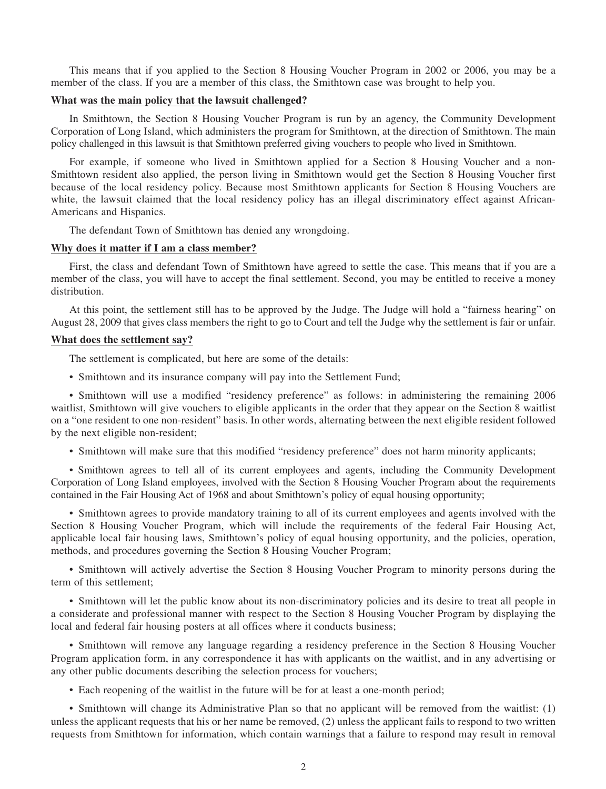This means that if you applied to the Section 8 Housing Voucher Program in 2002 or 2006, you may be a member of the class. If you are a member of this class, the Smithtown case was brought to help you.

#### **What was the main policy that the lawsuit challenged?**

In Smithtown, the Section 8 Housing Voucher Program is run by an agency, the Community Development Corporation of Long Island, which administers the program for Smithtown, at the direction of Smithtown. The main policy challenged in this lawsuit is that Smithtown preferred giving vouchers to people who lived in Smithtown.

For example, if someone who lived in Smithtown applied for a Section 8 Housing Voucher and a non-Smithtown resident also applied, the person living in Smithtown would get the Section 8 Housing Voucher first because of the local residency policy. Because most Smithtown applicants for Section 8 Housing Vouchers are white, the lawsuit claimed that the local residency policy has an illegal discriminatory effect against African-Americans and Hispanics.

The defendant Town of Smithtown has denied any wrongdoing.

#### **Why does it matter if I am a class member?**

First, the class and defendant Town of Smithtown have agreed to settle the case. This means that if you are a member of the class, you will have to accept the final settlement. Second, you may be entitled to receive a money distribution.

At this point, the settlement still has to be approved by the Judge. The Judge will hold a "fairness hearing" on August 28, 2009 that gives class members the right to go to Court and tell the Judge why the settlement is fair or unfair.

## **What does the settlement say?**

The settlement is complicated, but here are some of the details:

• Smithtown and its insurance company will pay into the Settlement Fund;

• Smithtown will use a modified "residency preference" as follows: in administering the remaining 2006 waitlist, Smithtown will give vouchers to eligible applicants in the order that they appear on the Section 8 waitlist on a "one resident to one non-resident" basis. In other words, alternating between the next eligible resident followed by the next eligible non-resident;

• Smithtown will make sure that this modified "residency preference" does not harm minority applicants;

• Smithtown agrees to tell all of its current employees and agents, including the Community Development Corporation of Long Island employees, involved with the Section 8 Housing Voucher Program about the requirements contained in the Fair Housing Act of 1968 and about Smithtown's policy of equal housing opportunity;

• Smithtown agrees to provide mandatory training to all of its current employees and agents involved with the Section 8 Housing Voucher Program, which will include the requirements of the federal Fair Housing Act, applicable local fair housing laws, Smithtown's policy of equal housing opportunity, and the policies, operation, methods, and procedures governing the Section 8 Housing Voucher Program;

• Smithtown will actively advertise the Section 8 Housing Voucher Program to minority persons during the term of this settlement;

• Smithtown will let the public know about its non-discriminatory policies and its desire to treat all people in a considerate and professional manner with respect to the Section 8 Housing Voucher Program by displaying the local and federal fair housing posters at all offices where it conducts business;

• Smithtown will remove any language regarding a residency preference in the Section 8 Housing Voucher Program application form, in any correspondence it has with applicants on the waitlist, and in any advertising or any other public documents describing the selection process for vouchers;

• Each reopening of the waitlist in the future will be for at least a one-month period;

• Smithtown will change its Administrative Plan so that no applicant will be removed from the waitlist: (1) unless the applicant requests that his or her name be removed, (2) unless the applicant fails to respond to two written requests from Smithtown for information, which contain warnings that a failure to respond may result in removal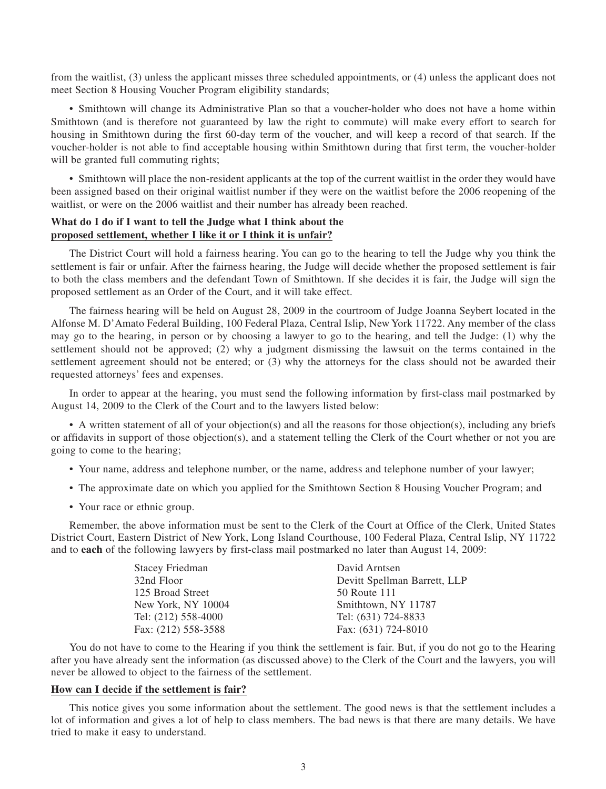from the waitlist, (3) unless the applicant misses three scheduled appointments, or (4) unless the applicant does not meet Section 8 Housing Voucher Program eligibility standards;

• Smithtown will change its Administrative Plan so that a voucher-holder who does not have a home within Smithtown (and is therefore not guaranteed by law the right to commute) will make every effort to search for housing in Smithtown during the first 60-day term of the voucher, and will keep a record of that search. If the voucher-holder is not able to find acceptable housing within Smithtown during that first term, the voucher-holder will be granted full commuting rights;

• Smithtown will place the non-resident applicants at the top of the current waitlist in the order they would have been assigned based on their original waitlist number if they were on the waitlist before the 2006 reopening of the waitlist, or were on the 2006 waitlist and their number has already been reached.

# **What do I do if I want to tell the Judge what I think about the proposed settlement, whether I like it or I think it is unfair?**

The District Court will hold a fairness hearing. You can go to the hearing to tell the Judge why you think the settlement is fair or unfair. After the fairness hearing, the Judge will decide whether the proposed settlement is fair to both the class members and the defendant Town of Smithtown. If she decides it is fair, the Judge will sign the proposed settlement as an Order of the Court, and it will take effect.

The fairness hearing will be held on August 28, 2009 in the courtroom of Judge Joanna Seybert located in the Alfonse M. D'Amato Federal Building, 100 Federal Plaza, Central Islip, New York 11722. Any member of the class may go to the hearing, in person or by choosing a lawyer to go to the hearing, and tell the Judge: (1) why the settlement should not be approved; (2) why a judgment dismissing the lawsuit on the terms contained in the settlement agreement should not be entered; or (3) why the attorneys for the class should not be awarded their requested attorneys' fees and expenses.

In order to appear at the hearing, you must send the following information by first-class mail postmarked by August 14, 2009 to the Clerk of the Court and to the lawyers listed below:

• A written statement of all of your objection(s) and all the reasons for those objection(s), including any briefs or affidavits in support of those objection(s), and a statement telling the Clerk of the Court whether or not you are going to come to the hearing;

- Your name, address and telephone number, or the name, address and telephone number of your lawyer;
- The approximate date on which you applied for the Smithtown Section 8 Housing Voucher Program; and
- Your race or ethnic group.

Remember, the above information must be sent to the Clerk of the Court at Office of the Clerk, United States District Court, Eastern District of New York, Long Island Courthouse, 100 Federal Plaza, Central Islip, NY 11722 and to **each** of the following lawyers by first-class mail postmarked no later than August 14, 2009:

| Stacey Friedman     | David Arntsen                |
|---------------------|------------------------------|
| 32nd Floor          | Devitt Spellman Barrett, LLP |
| 125 Broad Street    | 50 Route 111                 |
| New York, NY 10004  | Smithtown, NY 11787          |
| Tel: (212) 558-4000 | Tel: (631) 724-8833          |
| Fax: (212) 558-3588 | Fax: (631) 724-8010          |

You do not have to come to the Hearing if you think the settlement is fair. But, if you do not go to the Hearing after you have already sent the information (as discussed above) to the Clerk of the Court and the lawyers, you will never be allowed to object to the fairness of the settlement.

#### **How can I decide if the settlement is fair?**

This notice gives you some information about the settlement. The good news is that the settlement includes a lot of information and gives a lot of help to class members. The bad news is that there are many details. We have tried to make it easy to understand.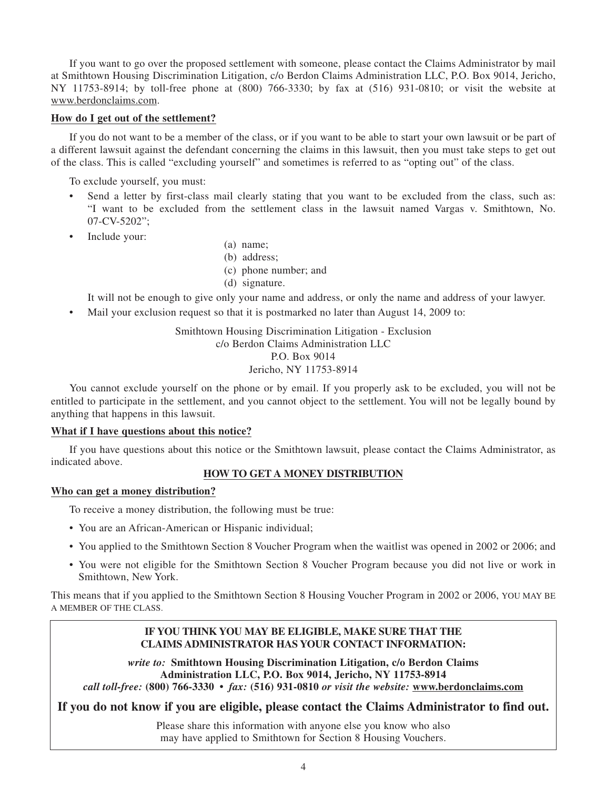If you want to go over the proposed settlement with someone, please contact the Claims Administrator by mail at Smithtown Housing Discrimination Litigation, c/o Berdon Claims Administration LLC, P.O. Box 9014, Jericho, NY 11753-8914; by toll-free phone at (800) 766-3330; by fax at (516) 931-0810; or visit the website at www.berdonclaims.com.

# **How do I get out of the settlement?**

If you do not want to be a member of the class, or if you want to be able to start your own lawsuit or be part of a different lawsuit against the defendant concerning the claims in this lawsuit, then you must take steps to get out of the class. This is called "excluding yourself" and sometimes is referred to as "opting out" of the class.

To exclude yourself, you must:

- Send a letter by first-class mail clearly stating that you want to be excluded from the class, such as: "I want to be excluded from the settlement class in the lawsuit named Vargas v. Smithtown, No. 07-CV-5202";
- Include your:
- (a) name;
- (b) address;
- (c) phone number; and
- (d) signature.

It will not be enough to give only your name and address, or only the name and address of your lawyer.

• Mail your exclusion request so that it is postmarked no later than August 14, 2009 to:

Smithtown Housing Discrimination Litigation - Exclusion c/o Berdon Claims Administration LLC P.O. Box 9014 Jericho, NY 11753-8914

You cannot exclude yourself on the phone or by email. If you properly ask to be excluded, you will not be entitled to participate in the settlement, and you cannot object to the settlement. You will not be legally bound by anything that happens in this lawsuit.

# **What if I have questions about this notice?**

If you have questions about this notice or the Smithtown lawsuit, please contact the Claims Administrator, as indicated above.

## **HOW TO GET A MONEY DISTRIBUTION**

# **Who can get a money distribution?**

To receive a money distribution, the following must be true:

- You are an African-American or Hispanic individual;
- You applied to the Smithtown Section 8 Voucher Program when the waitlist was opened in 2002 or 2006; and
- You were not eligible for the Smithtown Section 8 Voucher Program because you did not live or work in Smithtown, New York.

This means that if you applied to the Smithtown Section 8 Housing Voucher Program in 2002 or 2006, YOU MAY BE A MEMBER OF THE CLASS.

# **IF YOU THINK YOU MAY BE ELIGIBLE, MAKE SURE THAT THE CLAIMS ADMINISTRATOR HAS YOUR CONTACT INFORMATION:**

*write to:* **Smithtown Housing Discrimination Litigation, c/o Berdon Claims Administration LLC, P.O. Box 9014, Jericho, NY 11753-8914** *call toll-free:* **(800) 766-3330 •** *fax:* **(516) 931-0810** *or visit the website:* **www.berdonclaims.com**

**If you do not know if you are eligible, please contact the Claims Administrator to find out.**

Please share this information with anyone else you know who also may have applied to Smithtown for Section 8 Housing Vouchers.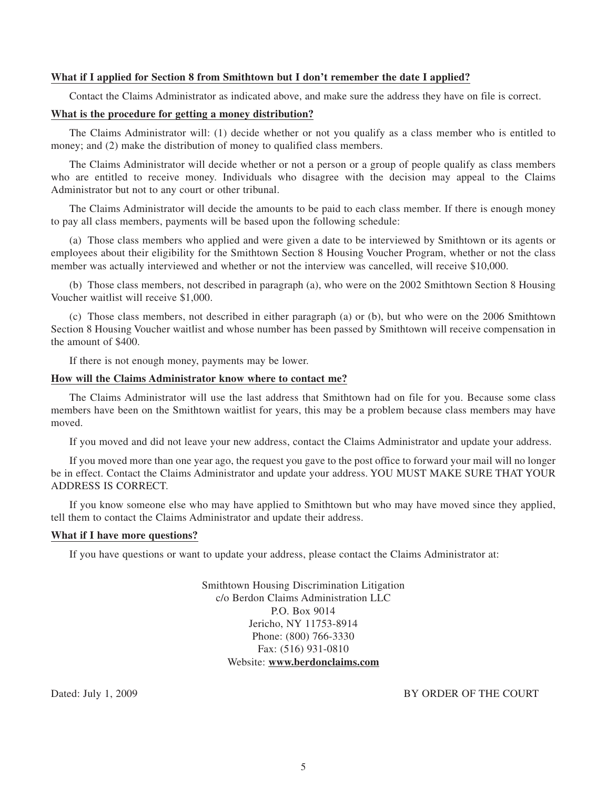## **What if I applied for Section 8 from Smithtown but I don't remember the date I applied?**

Contact the Claims Administrator as indicated above, and make sure the address they have on file is correct.

# **What is the procedure for getting a money distribution?**

The Claims Administrator will: (1) decide whether or not you qualify as a class member who is entitled to money; and (2) make the distribution of money to qualified class members.

The Claims Administrator will decide whether or not a person or a group of people qualify as class members who are entitled to receive money. Individuals who disagree with the decision may appeal to the Claims Administrator but not to any court or other tribunal.

The Claims Administrator will decide the amounts to be paid to each class member. If there is enough money to pay all class members, payments will be based upon the following schedule:

(a) Those class members who applied and were given a date to be interviewed by Smithtown or its agents or employees about their eligibility for the Smithtown Section 8 Housing Voucher Program, whether or not the class member was actually interviewed and whether or not the interview was cancelled, will receive \$10,000.

(b) Those class members, not described in paragraph (a), who were on the 2002 Smithtown Section 8 Housing Voucher waitlist will receive \$1,000.

(c) Those class members, not described in either paragraph (a) or (b), but who were on the 2006 Smithtown Section 8 Housing Voucher waitlist and whose number has been passed by Smithtown will receive compensation in the amount of \$400.

If there is not enough money, payments may be lower.

#### **How will the Claims Administrator know where to contact me?**

The Claims Administrator will use the last address that Smithtown had on file for you. Because some class members have been on the Smithtown waitlist for years, this may be a problem because class members may have moved.

If you moved and did not leave your new address, contact the Claims Administrator and update your address.

If you moved more than one year ago, the request you gave to the post office to forward your mail will no longer be in effect. Contact the Claims Administrator and update your address. YOU MUST MAKE SURE THAT YOUR ADDRESS IS CORRECT.

If you know someone else who may have applied to Smithtown but who may have moved since they applied, tell them to contact the Claims Administrator and update their address.

## **What if I have more questions?**

If you have questions or want to update your address, please contact the Claims Administrator at:

Smithtown Housing Discrimination Litigation c/o Berdon Claims Administration LLC P.O. Box 9014 Jericho, NY 11753-8914 Phone: (800) 766-3330 Fax: (516) 931-0810 Website: **www.berdonclaims.com**

Dated: July 1, 2009 BY ORDER OF THE COURT